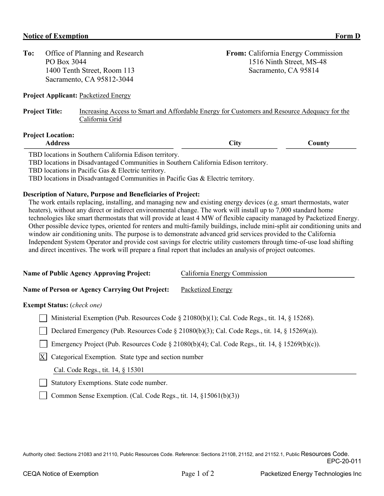| To:                      | Office of Planning and Research<br>PO Box 3044<br>1400 Tenth Street, Room 113<br>Sacramento, CA 95812-3044 | From: California Energy Commission<br>Sacramento, CA 95814                                   | 1516 Ninth Street, MS-48 |
|--------------------------|------------------------------------------------------------------------------------------------------------|----------------------------------------------------------------------------------------------|--------------------------|
|                          | <b>Project Applicant: Packetized Energy</b>                                                                |                                                                                              |                          |
| <b>Project Title:</b>    | California Grid                                                                                            | Increasing Access to Smart and Affordable Energy for Customers and Resource Adequacy for the |                          |
| <b>Project Location:</b> | <b>Address</b>                                                                                             | <b>City</b>                                                                                  | County                   |

TBD locations in Southern California Edison territory.

TBD locations in Disadvantaged Communities in Southern California Edison territory.

TBD locations in Pacific Gas & Electric territory.

TBD locations in Disadvantaged Communities in Pacific Gas & Electric territory.

## **Description of Nature, Purpose and Beneficiaries of Project:**

The work entails replacing, installing, and managing new and existing energy devices (e.g. smart thermostats, water heaters), without any direct or indirect environmental change. The work will install up to 7,000 standard home technologies like smart thermostats that will provide at least 4 MW of flexible capacity managed by Packetized Energy. Other possible device types, oriented for renters and multi-family buildings, include mini-split air conditioning units and window air conditioning units. The purpose is to demonstrate advanced grid services provided to the California Independent System Operator and provide cost savings for electric utility customers through time-of-use load shifting and direct incentives. The work will prepare a final report that includes an analysis of project outcomes.

| <b>Name of Public Agency Approving Project:</b>                                               | California Energy Commission |  |  |  |  |
|-----------------------------------------------------------------------------------------------|------------------------------|--|--|--|--|
| Name of Person or Agency Carrying Out Project:                                                | Packetized Energy            |  |  |  |  |
| <b>Exempt Status:</b> ( <i>check one</i> )                                                    |                              |  |  |  |  |
| Ministerial Exemption (Pub. Resources Code § 21080(b)(1); Cal. Code Regs., tit. 14, § 15268). |                              |  |  |  |  |
|                                                                                               |                              |  |  |  |  |

|  | Declared Emergency (Pub. Resources Code $\S 21080(b)(3)$ ; Cal. Code Regs., tit. 14, $\S 15269(a)$ ). |  |  |  |  |  |  |  |  |
|--|-------------------------------------------------------------------------------------------------------|--|--|--|--|--|--|--|--|
|--|-------------------------------------------------------------------------------------------------------|--|--|--|--|--|--|--|--|

Emergency Project (Pub. Resources Code § 21080(b)(4); Cal. Code Regs., tit. 14, § 15269(b)(c)).

 $X$  Categorical Exemption. State type and section number

Cal. Code Regs., tit. 14, § 15301

Statutory Exemptions. State code number.

Common Sense Exemption. (Cal. Code Regs., tit. 14, §15061(b)(3))

Authority cited: Sections 21083 and 21110, Public Resources Code. Reference: Sections 21108, 21152, and 21152.1, Public Resources Code. EPC-20-011